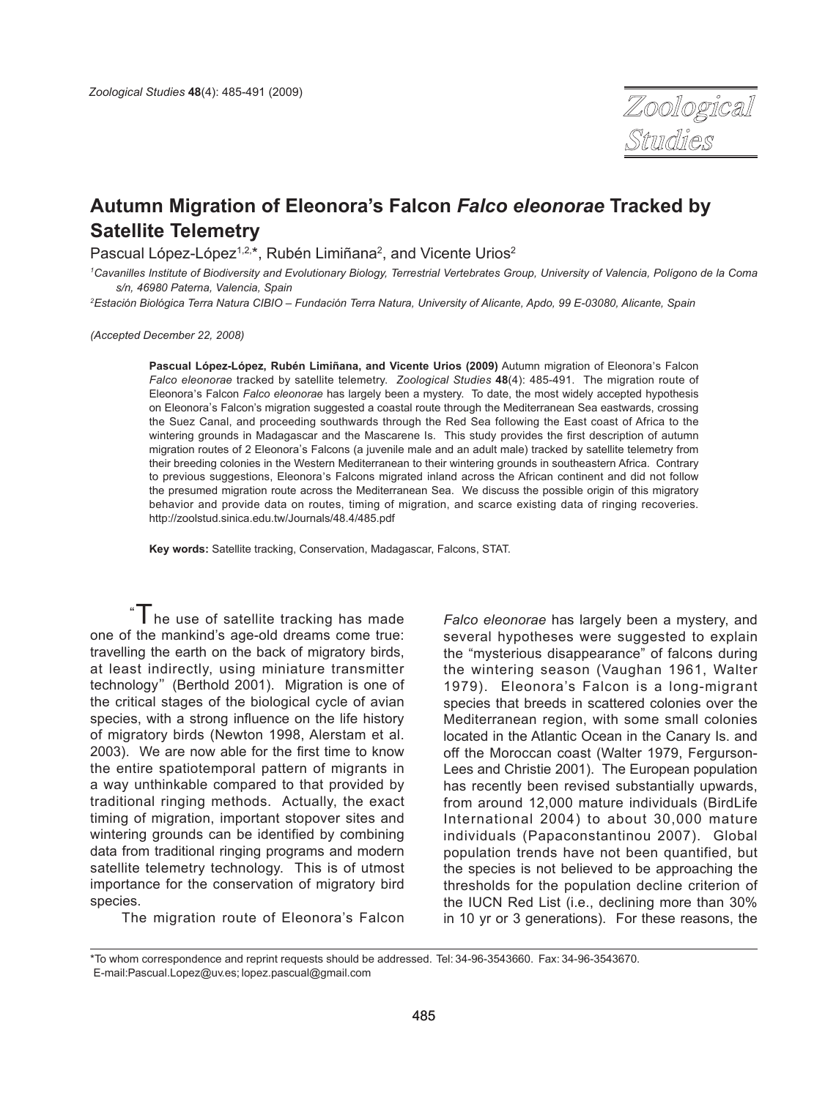

# **Autumn Migration of Eleonora's Falcon** *Falco eleonorae* **Tracked by Satellite Telemetry**

Pascual López-López<sup>1,2,\*</sup>, Rubén Limiñana<sup>2</sup>, and Vicente Urios<sup>2</sup>

*1 Cavanilles Institute of Biodiversity and Evolutionary Biology, Terrestrial Vertebrates Group, University of Valencia, Polígono de la Coma s/n, 46980 Paterna, Valencia, Spain*

*2 Estación Biológica Terra Natura CIBIO – Fundación Terra Natura, University of Alicante, Apdo, 99 E-03080, Alicante, Spain*

*(Accepted December 22, 2008)*

Pascual López-López, Rubén Limiñana, and Vicente Urios (2009) Autumn migration of Eleonora's Falcon *Falco eleonorae* tracked by satellite telemetry. *Zoological Studies* **48**(4): 485-491. The migration route of Eleonora, s Falcon *Falco eleonorae* has largely been a mystery. To date, the most widely accepted hypothesis on Eleonora, s Falcon's migration suggested a coastal route through the Mediterranean Sea eastwards, crossing the Suez Canal, and proceeding southwards through the Red Sea following the East coast of Africa to the wintering grounds in Madagascar and the Mascarene Is. This study provides the first description of autumn minering grounds in madagased. This massed one to: This stear provides the life description or dataming migration routes of 2 Eleonora's Falcons (a juvenile male and an adult male) tracked by satellite telemetry from their breeding colonies in the Western Mediterranean to their wintering grounds in southeastern Africa. Contrary to previous suggestions, Eleonora's Falcons migrated inland across the African continent and did not follow the presumed migration route across the Mediterranean Sea. We discuss the possible origin of this migratory behavior and provide data on routes, timing of migration, and scarce existing data of ringing recoveries. http://zoolstud.sinica.edu.tw/Journals/48.4/485.pdf

**Key words:** Satellite tracking, Conservation, Madagascar, Falcons, STAT.

 $\mathbf{T}_{\text{he}}$  use of satellite tracking has made one of the mankind's age-old dreams come true: travelling the earth on the back of migratory birds, at least indirectly, using miniature transmitter technology"(Berthold 2001). Migration is one of the critical stages of the biological cycle of avian species, with a strong influence on the life history of migratory birds (Newton 1998, Alerstam et al. 2003). We are now able for the first time to know the entire spatiotemporal pattern of migrants in a way unthinkable compared to that provided by traditional ringing methods. Actually, the exact timing of migration, important stopover sites and wintering grounds can be identified by combining data from traditional ringing programs and modern satellite telemetry technology. This is of utmost importance for the conservation of migratory bird species.

The migration route of Eleonora's Falcon

*Falco eleonorae* has largely been a mystery, and several hypotheses were suggested to explain the "mysterious disappearance" of falcons during the wintering season (Vaughan 1961, Walter 1979). Eleonora's Falcon is a long-migrant species that breeds in scattered colonies over the Mediterranean region, with some small colonies located in the Atlantic Ocean in the Canary Is. and off the Moroccan coast (Walter 1979, Fergurson-Lees and Christie 2001). The European population has recently been revised substantially upwards, from around 12,000 mature individuals (BirdLife International 2004) to about 30,000 mature individuals (Papaconstantinou 2007). Global population trends have not been quantified, but the species is not believed to be approaching the thresholds for the population decline criterion of the IUCN Red List (i.e., declining more than 30% in 10 yr or 3 generations). For these reasons, the

<sup>\*</sup>To whom correspondence and reprint requests should be addressed. Tel: 34-96-3543660. Fax: 34-96-3543670. E-mail:Pascual.Lopez@uv.es; lopez.pascual@gmail.com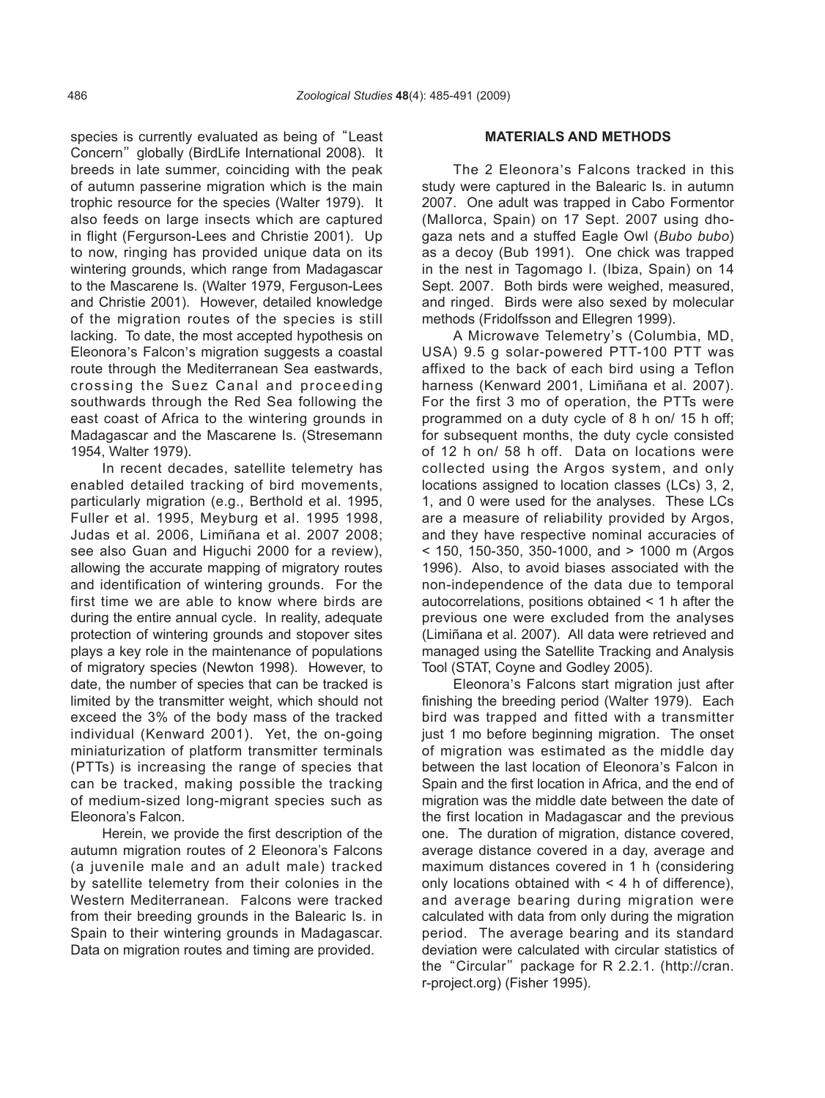species is currently evaluated as being of "Least" Concern" globally (BirdLife International 2008). It breeds in late summer, coinciding with the peak of autumn passerine migration which is the main trophic resource for the species (Walter 1979). It also feeds on large insects which are captured in flight (Fergurson-Lees and Christie 2001). Up to now, ringing has provided unique data on its wintering grounds, which range from Madagascar to the Mascarene Is. (Walter 1979, Ferguson-Lees and Christie 2001). However, detailed knowledge of the migration routes of the species is still lacking. To date, the most accepted hypothesis on Eleonora's Falcon's migration suggests a coastal route through the Mediterranean Sea eastwards, crossing the Suez Canal and proceeding southwards through the Red Sea following the east coast of Africa to the wintering grounds in Madagascar and the Mascarene Is. (Stresemann 1954, Walter 1979).

In recent decades, satellite telemetry has enabled detailed tracking of bird movements, particularly migration (e.g., Berthold et al. 1995, Fuller et al. 1995, Meyburg et al. 1995 1998, Judas et al. 2006, Limiñana et al. 2007 2008; see also Guan and Higuchi 2000 for a review), allowing the accurate mapping of migratory routes and identification of wintering grounds. For the first time we are able to know where birds are during the entire annual cycle. In reality, adequate protection of wintering grounds and stopover sites plays a key role in the maintenance of populations of migratory species (Newton 1998). However, to date, the number of species that can be tracked is limited by the transmitter weight, which should not exceed the 3% of the body mass of the tracked individual (Kenward 2001). Yet, the on-going miniaturization of platform transmitter terminals (PTTs) is increasing the range of species that can be tracked, making possible the tracking of medium-sized long-migrant species such as Eleonora's Falcon.

Herein, we provide the first description of the autumn migration routes of 2 Eleonora's Falcons (a juvenile male and an adult male) tracked by satellite telemetry from their colonies in the Western Mediterranean. Falcons were tracked from their breeding grounds in the Balearic Is. in Spain to their wintering grounds in Madagascar. Data on migration routes and timing are provided.

### **MATERIALS AND METHODS**

The 2 Eleonora's Falcons tracked in this study were captured in the Balearic Is. in autumn 2007. One adult was trapped in Cabo Formentor (Mallorca, Spain) on 17 Sept. 2007 using dhogaza nets and a stuffed Eagle Owl (*Bubo bubo*) as a decoy (Bub 1991). One chick was trapped in the nest in Tagomago I. (Ibiza, Spain) on 14 Sept. 2007. Both birds were weighed, measured, and ringed. Birds were also sexed by molecular methods (Fridolfsson and Ellegren 1999).

A Microwave Telemetry, s (Columbia, MD, USA) 9.5 g solar-powered PTT-100 PTT was affixed to the back of each bird using a Teflon harness (Kenward 2001, Limiñana et al. 2007). For the first 3 mo of operation, the PTTs were programmed on a duty cycle of 8 h on/ 15 h off; for subsequent months, the duty cycle consisted of 12 h on/ 58 h off. Data on locations were collected using the Argos system, and only locations assigned to location classes (LCs) 3, 2, 1, and 0 were used for the analyses. These LCs are a measure of reliability provided by Argos, and they have respective nominal accuracies of < 150, 150-350, 350-1000, and > 1000 m (Argos 1996). Also, to avoid biases associated with the non-independence of the data due to temporal autocorrelations, positions obtained < 1 h after the previous one were excluded from the analyses (Limiñana et al. 2007). All data were retrieved and managed using the Satellite Tracking and Analysis Tool (STAT, Coyne and Godley 2005).

Eleonora, s Falcons start migration just after finishing the breeding period (Walter 1979). Each bird was trapped and fitted with a transmitter just 1 mo before beginning migration. The onset of migration was estimated as the middle day between the last location of Eleonora, s Falcon in Spain and the first location in Africa, and the end of migration was the middle date between the date of the first location in Madagascar and the previous one. The duration of migration, distance covered, average distance covered in a day, average and maximum distances covered in 1 h (considering only locations obtained with  $\leq 4$  h of difference), and average bearing during migration were calculated with data from only during the migration period. The average bearing and its standard deviation were calculated with circular statistics of the "Circular" package for R 2.2.1. (http://cran. r-project.org) (Fisher 1995).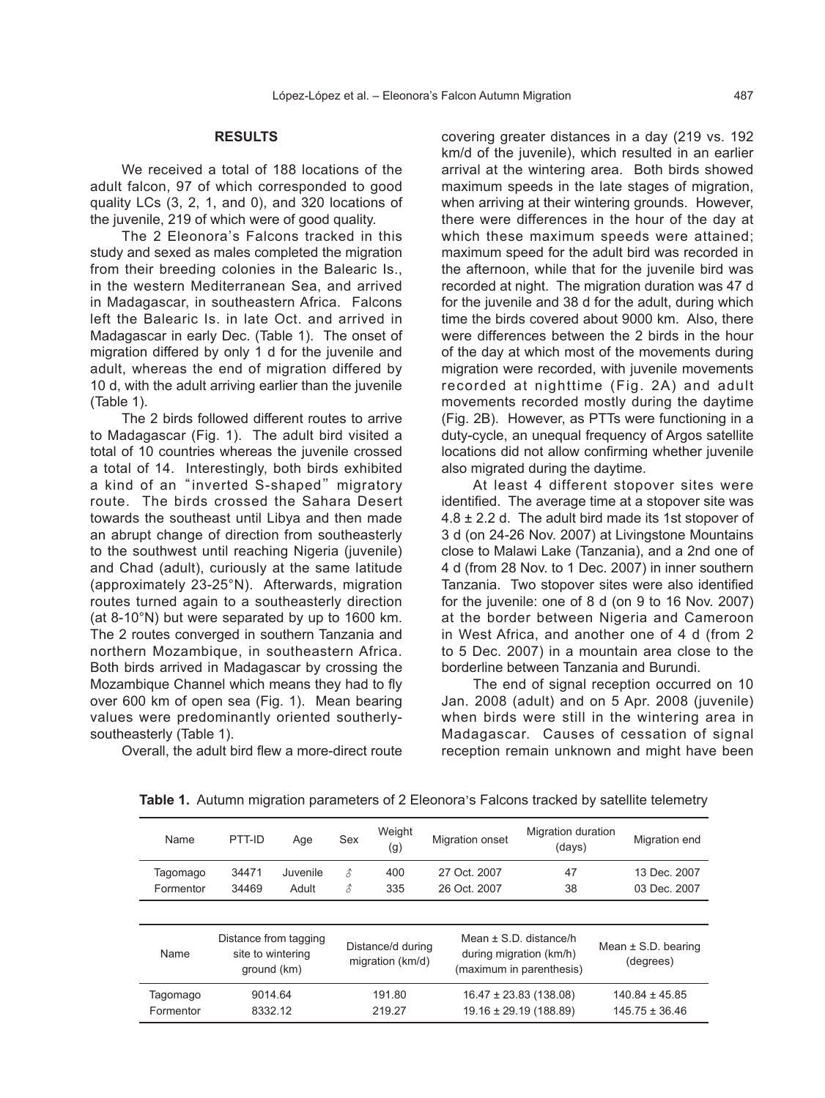### **RESULTS**

We received a total of 188 locations of the adult falcon, 97 of which corresponded to good quality LCs (3, 2, 1, and 0), and 320 locations of the juvenile, 219 of which were of good quality.

worms, 210 of millen were or good quality.<br>The 2 Eleonora's Falcons tracked in this study and sexed as males completed the migration from their breeding colonies in the Balearic Is., in the western Mediterranean Sea, and arrived in Madagascar, in southeastern Africa. Falcons left the Balearic Is. in late Oct. and arrived in Madagascar in early Dec. (Table 1). The onset of migration differed by only 1 d for the juvenile and adult, whereas the end of migration differed by 10 d, with the adult arriving earlier than the juvenile (Table 1).

The 2 birds followed different routes to arrive to Madagascar (Fig. 1). The adult bird visited a total of 10 countries whereas the juvenile crossed a total of 14. Interestingly, both birds exhibited a kind of an "inverted S-shaped" migratory route. The birds crossed the Sahara Desert towards the southeast until Libya and then made an abrupt change of direction from southeasterly to the southwest until reaching Nigeria (juvenile) and Chad (adult), curiously at the same latitude (approximately 23-25°N). Afterwards, migration routes turned again to a southeasterly direction (at 8-10°N) but were separated by up to 1600 km. The 2 routes converged in southern Tanzania and northern Mozambique, in southeastern Africa. Both birds arrived in Madagascar by crossing the Mozambique Channel which means they had to fly over 600 km of open sea (Fig. 1). Mean bearing values were predominantly oriented southerlysoutheasterly (Table 1).

Overall, the adult bird flew a more-direct route

covering greater distances in a day (219 vs. 192 km/d of the juvenile), which resulted in an earlier arrival at the wintering area. Both birds showed maximum speeds in the late stages of migration, when arriving at their wintering grounds. However, there were differences in the hour of the day at which these maximum speeds were attained; maximum speed for the adult bird was recorded in the afternoon, while that for the juvenile bird was recorded at night. The migration duration was 47 d for the juvenile and 38 d for the adult, during which time the birds covered about 9000 km. Also, there were differences between the 2 birds in the hour of the day at which most of the movements during migration were recorded, with juvenile movements recorded at nighttime (Fig. 2A) and adult movements recorded mostly during the daytime (Fig. 2B). However, as PTTs were functioning in a duty-cycle, an unequal frequency of Argos satellite locations did not allow confirming whether juvenile also migrated during the daytime.

At least 4 different stopover sites were identified. The average time at a stopover site was  $4.8 \pm 2.2$  d. The adult bird made its 1st stopover of 3 d (on 24-26 Nov. 2007) at Livingstone Mountains close to Malawi Lake (Tanzania), and a 2nd one of 4 d (from 28 Nov. to 1 Dec. 2007) in inner southern Tanzania. Two stopover sites were also identified for the juvenile: one of 8 d (on 9 to 16 Nov. 2007) at the border between Nigeria and Cameroon in West Africa, and another one of 4 d (from 2 to 5 Dec. 2007) in a mountain area close to the borderline between Tanzania and Burundi.

The end of signal reception occurred on 10 Jan. 2008 (adult) and on 5 Apr. 2008 (juvenile) when birds were still in the wintering area in Madagascar. Causes of cessation of signal reception remain unknown and might have been

| <b>Name</b> | PTT-ID                                                    | Age      | Sex | Weight<br>(g)     | Migration onset | Migration duration<br>(days)                        | Migration end           |
|-------------|-----------------------------------------------------------|----------|-----|-------------------|-----------------|-----------------------------------------------------|-------------------------|
| Tagomago    | 34471                                                     | Juvenile | £   | 400               | 27 Oct. 2007    | 47                                                  | 13 Dec. 2007            |
| Formentor   | 34469                                                     | Adult    | В   | 335               | 26 Oct. 2007    | 38                                                  | 03 Dec. 2007            |
|             |                                                           |          |     |                   |                 |                                                     |                         |
| Name        | Distance from tagging<br>site to wintering<br>ground (km) |          |     | Distance/d during |                 | Mean $\pm$ S.D. distance/h                          | Mean $\pm$ S.D. bearing |
|             |                                                           |          |     | migration (km/d)  |                 | during migration (km/h)<br>(maximum in parenthesis) | (degrees)               |

Table 1. Autumn migration parameters of 2 Eleonora's Falcons tracked by satellite telemetry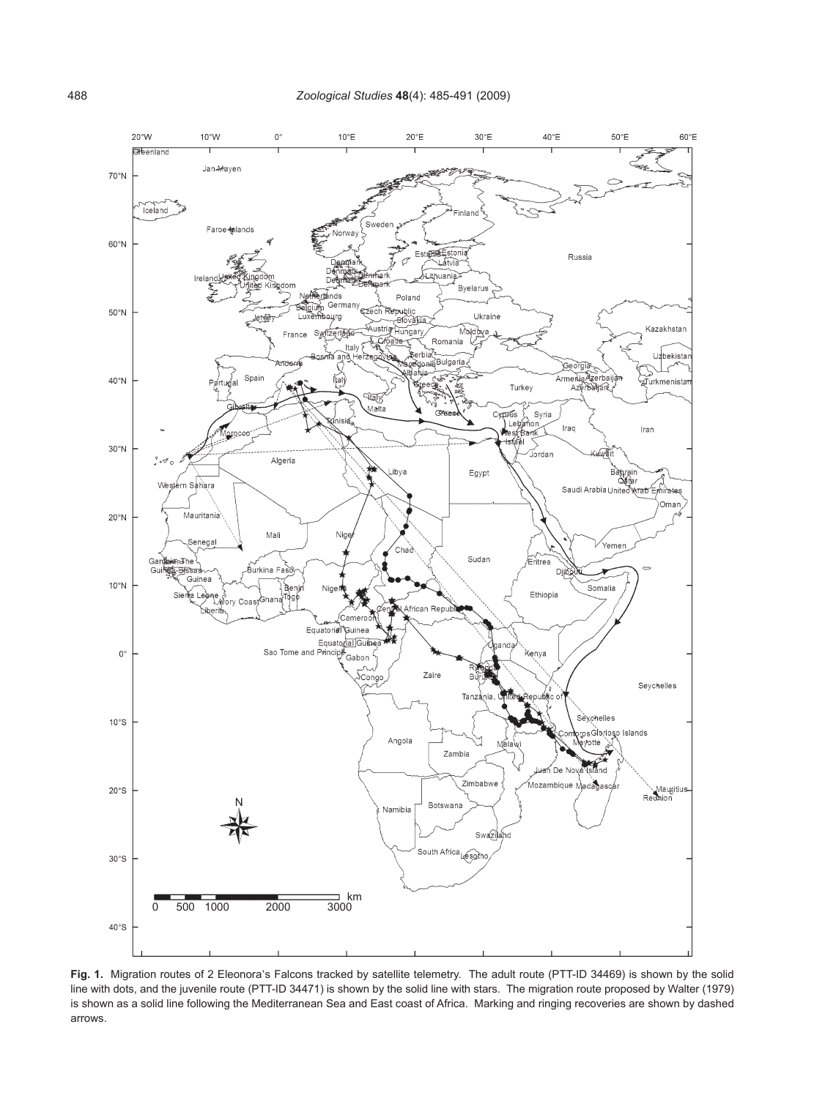

Fig. 1. Migration routes of 2 Eleonora's Falcons tracked by satellite telemetry. The adult route (PTT-ID 34469) is shown by the solid line with dots, and the juvenile route (PTT-ID 34471) is shown by the solid line with stars. The migration route proposed by Walter (1979) is shown as a solid line following the Mediterranean Sea and East coast of Africa. Marking and ringing recoveries are shown by dashed arrows.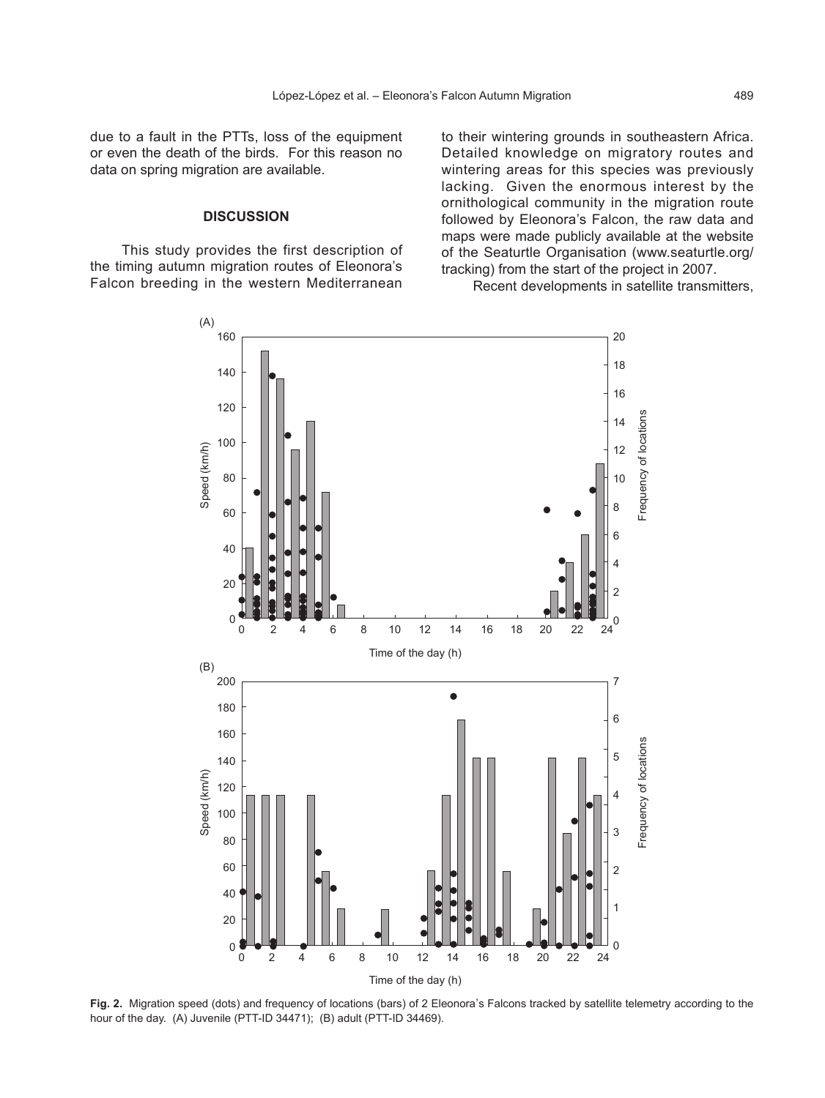due to a fault in the PTTs, loss of the equipment or even the death of the birds. For this reason no data on spring migration are available.

## **DISCUSSION**

This study provides the first description of the timing autumn migration routes of Eleonora's Falcon breeding in the western Mediterranean

to their wintering grounds in southeastern Africa. Detailed knowledge on migratory routes and wintering areas for this species was previously lacking. Given the enormous interest by the ornithological community in the migration route followed by Eleonora's Falcon, the raw data and maps were made publicly available at the website of the Seaturtle Organisation (www.seaturtle.org/ tracking) from the start of the project in 2007.



Recent developments in satellite transmitters,

Fig. 2. Migration speed (dots) and frequency of locations (bars) of 2 Eleonora's Falcons tracked by satellite telemetry according to the hour of the day. (A) Juvenile (PTT-ID 34471); (B) adult (PTT-ID 34469).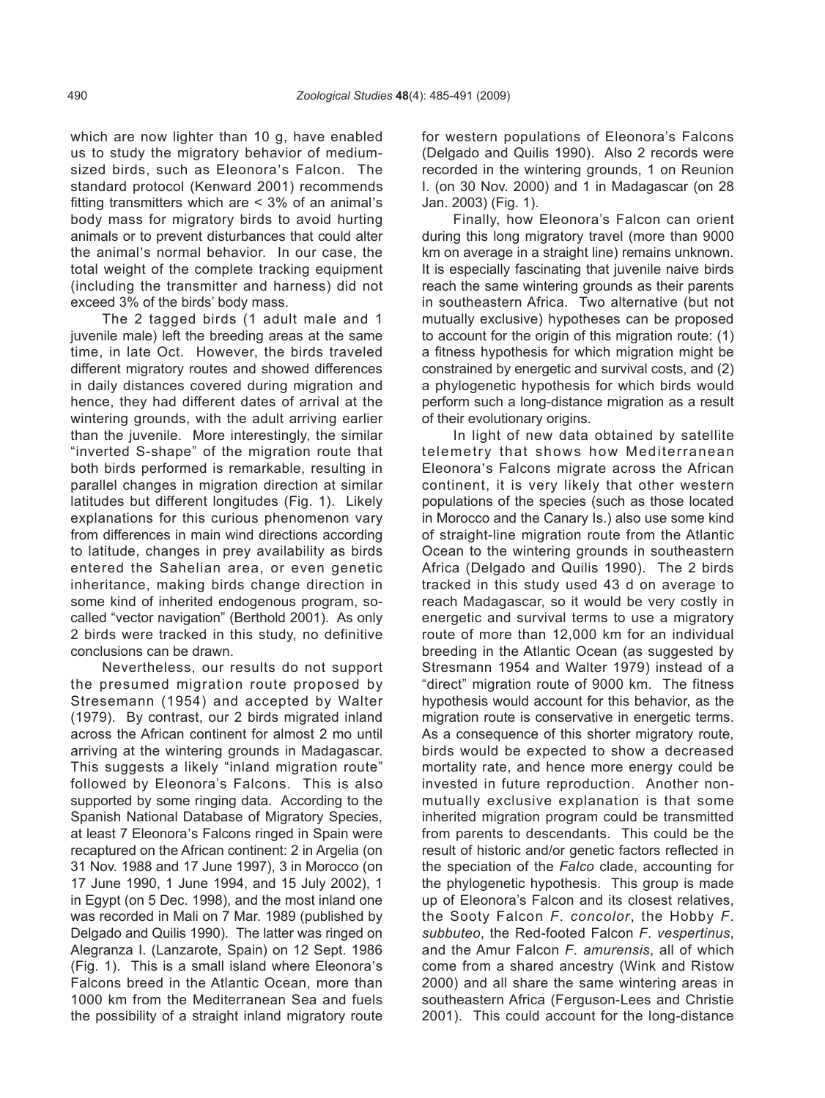which are now lighter than 10 g, have enabled us to study the migratory behavior of mediumas to staay the imgratery behavior of medium standard protocol (Kenward 2001) recommends fitting transmitters which are < 3% of an animal's body mass for migratory birds to avoid hurting animals or to prevent disturbances that could alter the animal, s normal behavior. In our case, the total weight of the complete tracking equipment (including the transmitter and harness) did not exceed 3% of the birds' body mass.

The 2 tagged birds (1 adult male and 1 juvenile male) left the breeding areas at the same time, in late Oct. However, the birds traveled different migratory routes and showed differences in daily distances covered during migration and hence, they had different dates of arrival at the wintering grounds, with the adult arriving earlier than the juvenile. More interestingly, the similar "inverted S-shape" of the migration route that both birds performed is remarkable, resulting in parallel changes in migration direction at similar latitudes but different longitudes (Fig. 1). Likely explanations for this curious phenomenon vary from differences in main wind directions according to latitude, changes in prey availability as birds entered the Sahelian area, or even genetic inheritance, making birds change direction in some kind of inherited endogenous program, socalled "vector navigation" (Berthold 2001). As only 2 birds were tracked in this study, no definitive conclusions can be drawn.

Nevertheless, our results do not support the presumed migration route proposed by Stresemann (1954) and accepted by Walter (1979). By contrast, our 2 birds migrated inland across the African continent for almost 2 mo until arriving at the wintering grounds in Madagascar. This suggests a likely "inland migration route" followed by Eleonora's Falcons. This is also supported by some ringing data. According to the Spanish National Database of Migratory Species, at least 7 Eleonora, s Falcons ringed in Spain were recaptured on the African continent: 2 in Argelia (on 31 Nov. 1988 and 17 June 1997), 3 in Morocco (on 17 June 1990, 1 June 1994, and 15 July 2002), 1 in Egypt (on 5 Dec. 1998), and the most inland one was recorded in Mali on 7 Mar. 1989 (published by Delgado and Quilis 1990). The latter was ringed on Alegranza I. (Lanzarote, Spain) on 12 Sept. 1986 (Fig. 1). This is a small island where Eleonora's Falcons breed in the Atlantic Ocean, more than 1000 km from the Mediterranean Sea and fuels the possibility of a straight inland migratory route

for western populations of Eleonora's Falcons (Delgado and Quilis 1990). Also 2 records were recorded in the wintering grounds, 1 on Reunion I. (on 30 Nov. 2000) and 1 in Madagascar (on 28 Jan. 2003) (Fig. 1).

Finally, how Eleonora's Falcon can orient during this long migratory travel (more than 9000 km on average in a straight line) remains unknown. It is especially fascinating that juvenile naive birds reach the same wintering grounds as their parents in southeastern Africa. Two alternative (but not mutually exclusive) hypotheses can be proposed to account for the origin of this migration route: (1) a fitness hypothesis for which migration might be constrained by energetic and survival costs, and (2) a phylogenetic hypothesis for which birds would perform such a long-distance migration as a result of their evolutionary origins.

In light of new data obtained by satellite telemetry that shows how Mediterranean Eleonora, s Falcons migrate across the African continent, it is very likely that other western populations of the species (such as those located in Morocco and the Canary Is.) also use some kind of straight-line migration route from the Atlantic Ocean to the wintering grounds in southeastern Africa (Delgado and Quilis 1990). The 2 birds tracked in this study used 43 d on average to reach Madagascar, so it would be very costly in energetic and survival terms to use a migratory route of more than 12,000 km for an individual breeding in the Atlantic Ocean (as suggested by Stresmann 1954 and Walter 1979) instead of a "direct" migration route of 9000 km. The fitness hypothesis would account for this behavior, as the migration route is conservative in energetic terms. As a consequence of this shorter migratory route, birds would be expected to show a decreased mortality rate, and hence more energy could be invested in future reproduction. Another nonmutually exclusive explanation is that some inherited migration program could be transmitted from parents to descendants. This could be the result of historic and/or genetic factors reflected in the speciation of the *Falco* clade, accounting for the phylogenetic hypothesis. This group is made up of Eleonora's Falcon and its closest relatives, the Sooty Falcon *F*. *concolor*, the Hobby *F*. *subbuteo*, the Red-footed Falcon *F*. *vespertinus*, and the Amur Falcon *F*. *amurensis*, all of which come from a shared ancestry (Wink and Ristow 2000) and all share the same wintering areas in southeastern Africa (Ferguson-Lees and Christie 2001). This could account for the long-distance